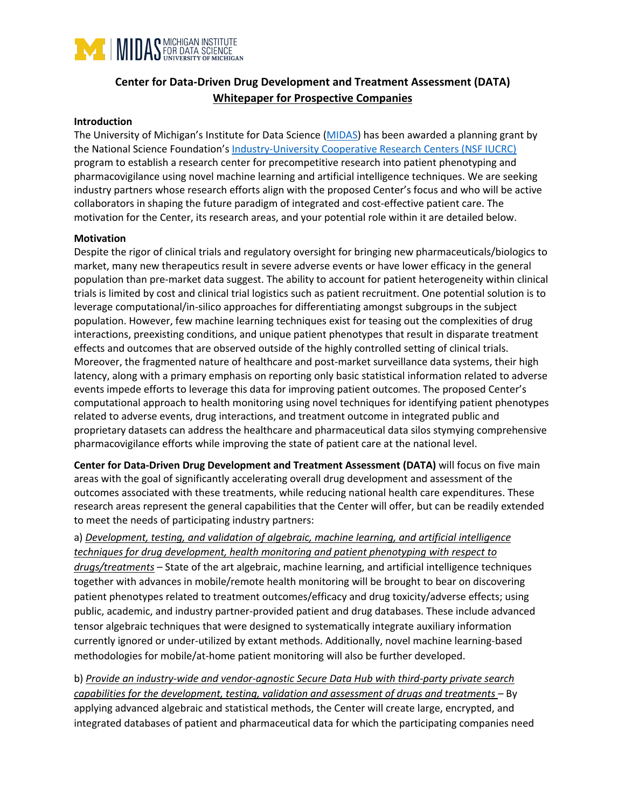

# **Center for Data-Driven Drug Development and Treatment Assessment (DATA) Whitepaper for Prospective Companies**

#### **Introduction**

The University of Michigan's Institute for Data Science (MIDAS) has been awarded a planning grant by the National Science Foundation's Industry-University Cooperative Research Centers (NSF IUCRC) program to establish a research center for precompetitive research into patient phenotyping and pharmacovigilance using novel machine learning and artificial intelligence techniques. We are seeking industry partners whose research efforts align with the proposed Center's focus and who will be active collaborators in shaping the future paradigm of integrated and cost-effective patient care. The motivation for the Center, its research areas, and your potential role within it are detailed below.

#### **Motivation**

Despite the rigor of clinical trials and regulatory oversight for bringing new pharmaceuticals/biologics to market, many new therapeutics result in severe adverse events or have lower efficacy in the general population than pre-market data suggest. The ability to account for patient heterogeneity within clinical trials is limited by cost and clinical trial logistics such as patient recruitment. One potential solution is to leverage computational/in-silico approaches for differentiating amongst subgroups in the subject population. However, few machine learning techniques exist for teasing out the complexities of drug interactions, preexisting conditions, and unique patient phenotypes that result in disparate treatment effects and outcomes that are observed outside of the highly controlled setting of clinical trials. Moreover, the fragmented nature of healthcare and post-market surveillance data systems, their high latency, along with a primary emphasis on reporting only basic statistical information related to adverse events impede efforts to leverage this data for improving patient outcomes. The proposed Center's computational approach to health monitoring using novel techniques for identifying patient phenotypes related to adverse events, drug interactions, and treatment outcome in integrated public and proprietary datasets can address the healthcare and pharmaceutical data silos stymying comprehensive pharmacovigilance efforts while improving the state of patient care at the national level.

**Center for Data-Driven Drug Development and Treatment Assessment (DATA)** will focus on five main areas with the goal of significantly accelerating overall drug development and assessment of the outcomes associated with these treatments, while reducing national health care expenditures. These research areas represent the general capabilities that the Center will offer, but can be readily extended to meet the needs of participating industry partners:

a) *Development, testing, and validation of algebraic, machine learning, and artificial intelligence techniques for drug development, health monitoring and patient phenotyping with respect to drugs/treatments* – State of the art algebraic, machine learning, and artificial intelligence techniques together with advances in mobile/remote health monitoring will be brought to bear on discovering patient phenotypes related to treatment outcomes/efficacy and drug toxicity/adverse effects; using public, academic, and industry partner-provided patient and drug databases. These include advanced tensor algebraic techniques that were designed to systematically integrate auxiliary information currently ignored or under-utilized by extant methods. Additionally, novel machine learning-based methodologies for mobile/at-home patient monitoring will also be further developed.

b) *Provide an industry-wide and vendor-agnostic Secure Data Hub with third-party private search capabilities for the development, testing, validation and assessment of drugs and treatments –* By applying advanced algebraic and statistical methods, the Center will create large, encrypted, and integrated databases of patient and pharmaceutical data for which the participating companies need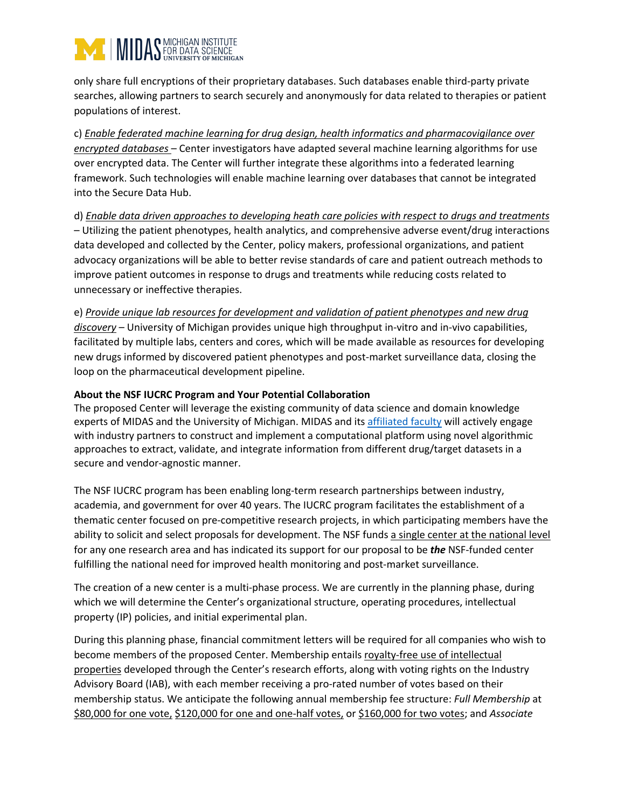# IMIDAS MICHIGAN INSTITUTE

only share full encryptions of their proprietary databases. Such databases enable third-party private searches, allowing partners to search securely and anonymously for data related to therapies or patient populations of interest.

c) *Enable federated machine learning for drug design, health informatics and pharmacovigilance over encrypted databases* – Center investigators have adapted several machine learning algorithms for use over encrypted data. The Center will further integrate these algorithms into a federated learning framework. Such technologies will enable machine learning over databases that cannot be integrated into the Secure Data Hub.

## d) *Enable data driven approaches to developing heath care policies with respect to drugs and treatments* – Utilizing the patient phenotypes, health analytics, and comprehensive adverse event/drug interactions data developed and collected by the Center, policy makers, professional organizations, and patient advocacy organizations will be able to better revise standards of care and patient outreach methods to improve patient outcomes in response to drugs and treatments while reducing costs related to unnecessary or ineffective therapies.

e) *Provide unique lab resources for development and validation of patient phenotypes and new drug discovery* – University of Michigan provides unique high throughput in-vitro and in-vivo capabilities, facilitated by multiple labs, centers and cores, which will be made available as resources for developing new drugs informed by discovered patient phenotypes and post-market surveillance data, closing the loop on the pharmaceutical development pipeline.

# **About the NSF IUCRC Program and Your Potential Collaboration**

The proposed Center will leverage the existing community of data science and domain knowledge experts of MIDAS and the University of Michigan. MIDAS and its affiliated faculty will actively engage with industry partners to construct and implement a computational platform using novel algorithmic approaches to extract, validate, and integrate information from different drug/target datasets in a secure and vendor-agnostic manner.

The NSF IUCRC program has been enabling long-term research partnerships between industry, academia, and government for over 40 years. The IUCRC program facilitates the establishment of a thematic center focused on pre-competitive research projects, in which participating members have the ability to solicit and select proposals for development. The NSF funds a single center at the national level for any one research area and has indicated its support for our proposal to be *the* NSF-funded center fulfilling the national need for improved health monitoring and post-market surveillance.

The creation of a new center is a multi-phase process. We are currently in the planning phase, during which we will determine the Center's organizational structure, operating procedures, intellectual property (IP) policies, and initial experimental plan.

During this planning phase, financial commitment letters will be required for all companies who wish to become members of the proposed Center. Membership entails royalty-free use of intellectual properties developed through the Center's research efforts, along with voting rights on the Industry Advisory Board (IAB), with each member receiving a pro-rated number of votes based on their membership status. We anticipate the following annual membership fee structure: *Full Membership* at \$80,000 for one vote, \$120,000 for one and one-half votes, or \$160,000 for two votes; and *Associate*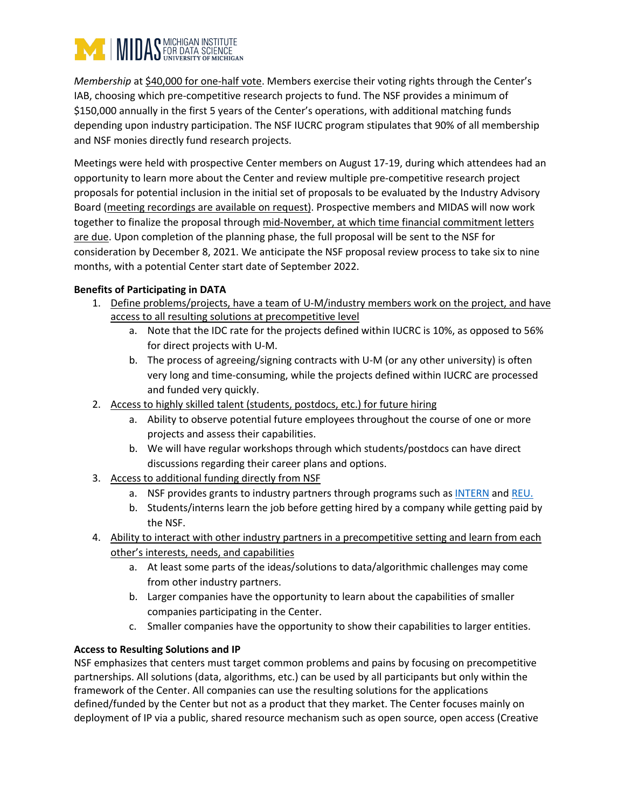

*Membership* at \$40,000 for one-half vote. Members exercise their voting rights through the Center's IAB, choosing which pre-competitive research projects to fund. The NSF provides a minimum of \$150,000 annually in the first 5 years of the Center's operations, with additional matching funds depending upon industry participation. The NSF IUCRC program stipulates that 90% of all membership and NSF monies directly fund research projects.

Meetings were held with prospective Center members on August 17-19, during which attendees had an opportunity to learn more about the Center and review multiple pre-competitive research project proposals for potential inclusion in the initial set of proposals to be evaluated by the Industry Advisory Board (meeting recordings are available on request). Prospective members and MIDAS will now work together to finalize the proposal through mid-November, at which time financial commitment letters are due. Upon completion of the planning phase, the full proposal will be sent to the NSF for consideration by December 8, 2021. We anticipate the NSF proposal review process to take six to nine months, with a potential Center start date of September 2022.

### **Benefits of Participating in DATA**

- 1. Define problems/projects, have a team of U-M/industry members work on the project, and have access to all resulting solutions at precompetitive level
	- a. Note that the IDC rate for the projects defined within IUCRC is 10%, as opposed to 56% for direct projects with U-M.
	- b. The process of agreeing/signing contracts with U-M (or any other university) is often very long and time-consuming, while the projects defined within IUCRC are processed and funded very quickly.
- 2. Access to highly skilled talent (students, postdocs, etc.) for future hiring
	- a. Ability to observe potential future employees throughout the course of one or more projects and assess their capabilities.
	- b. We will have regular workshops through which students/postdocs can have direct discussions regarding their career plans and options.
- 3. Access to additional funding directly from NSF
	- a. NSF provides grants to industry partners through programs such as INTERN and REU.
	- b. Students/interns learn the job before getting hired by a company while getting paid by the NSF.
- 4. Ability to interact with other industry partners in a precompetitive setting and learn from each other's interests, needs, and capabilities
	- a. At least some parts of the ideas/solutions to data/algorithmic challenges may come from other industry partners.
	- b. Larger companies have the opportunity to learn about the capabilities of smaller companies participating in the Center.
	- c. Smaller companies have the opportunity to show their capabilities to larger entities.

## **Access to Resulting Solutions and IP**

NSF emphasizes that centers must target common problems and pains by focusing on precompetitive partnerships. All solutions (data, algorithms, etc.) can be used by all participants but only within the framework of the Center. All companies can use the resulting solutions for the applications defined/funded by the Center but not as a product that they market. The Center focuses mainly on deployment of IP via a public, shared resource mechanism such as open source, open access (Creative